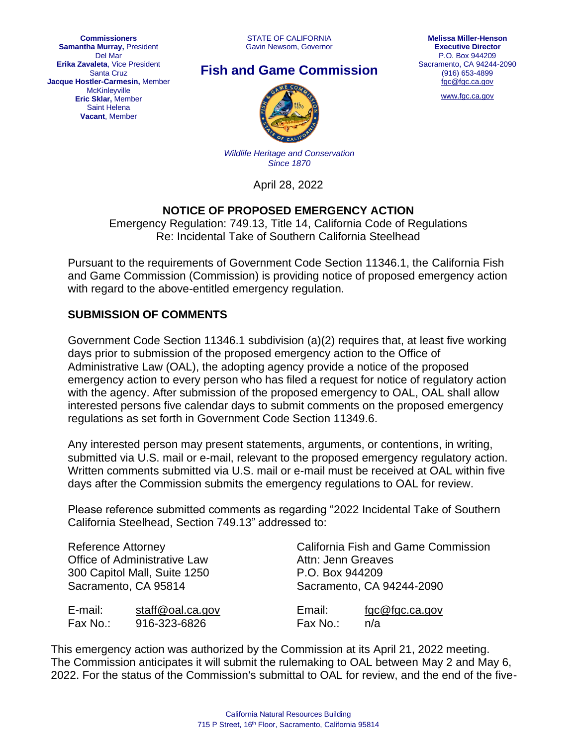STATE OF CALIFORNIA Gavin Newsom, Governor



## **Fish and Game Commission**



[www.fgc.ca.gov](http://www.fgc.ca.gov/)



*Wildlife Heritage and Conservation Since 1870*

April 28, 2022

## **NOTICE OF PROPOSED EMERGENCY ACTION**

Emergency Regulation: 749.13, Title 14, California Code of Regulations Re: Incidental Take of Southern California Steelhead

Pursuant to the requirements of Government Code Section 11346.1, the California Fish and Game Commission (Commission) is providing notice of proposed emergency action with regard to the above-entitled emergency regulation.

## **SUBMISSION OF COMMENTS**

Government Code Section 11346.1 subdivision (a)(2) requires that, at least five working days prior to submission of the proposed emergency action to the Office of Administrative Law (OAL), the adopting agency provide a notice of the proposed emergency action to every person who has filed a request for notice of regulatory action with the agency. After submission of the proposed emergency to OAL, OAL shall allow interested persons five calendar days to submit comments on the proposed emergency regulations as set forth in Government Code Section 11349.6.

Any interested person may present statements, arguments, or contentions, in writing, submitted via U.S. mail or e-mail, relevant to the proposed emergency regulatory action. Written comments submitted via U.S. mail or e-mail must be received at OAL within five days after the Commission submits the emergency regulations to OAL for review.

Please reference submitted comments as regarding "2022 Incidental Take of Southern California Steelhead, Section 749.13" addressed to:

| <b>Reference Attorney</b>           |                  | <b>California Fish and Game Commission</b> |                |
|-------------------------------------|------------------|--------------------------------------------|----------------|
| <b>Office of Administrative Law</b> |                  | Attn: Jenn Greaves                         |                |
| 300 Capitol Mall, Suite 1250        |                  | P.O. Box 944209                            |                |
| Sacramento, CA 95814                |                  | Sacramento, CA 94244-2090                  |                |
| E-mail:                             | staff@oal.ca.gov | Email:                                     | fgc@fgc.ca.gov |
| Fax No.:                            | 916-323-6826     | Fax No.:                                   | n/a            |

This emergency action was authorized by the Commission at its April 21, 2022 meeting. The Commission anticipates it will submit the rulemaking to OAL between May 2 and May 6, 2022. For the status of the Commission's submittal to OAL for review, and the end of the five